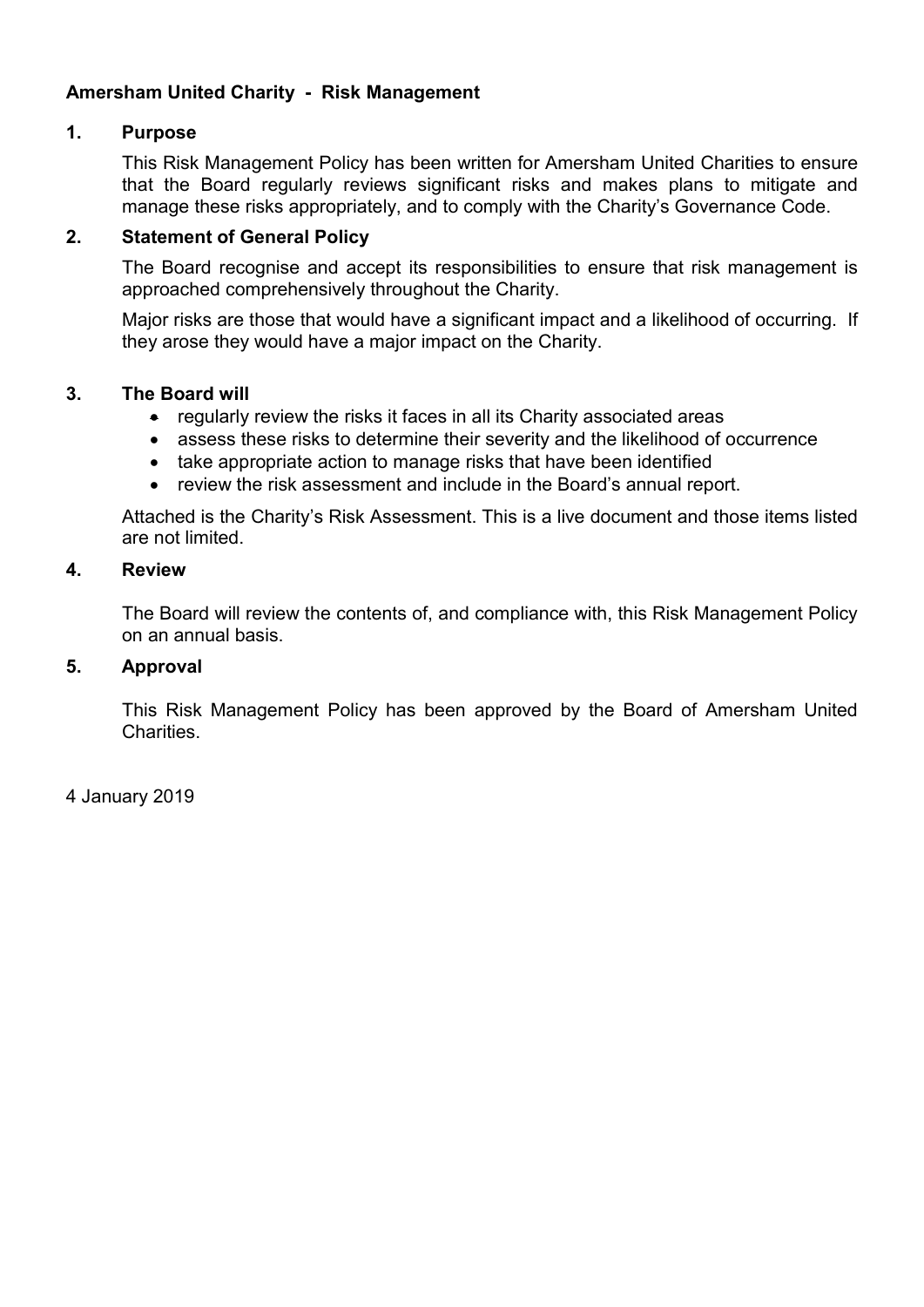# Amersham United Charity - Risk Management

## 1. Purpose

This Risk Management Policy has been written for Amersham United Charities to ensure that the Board regularly reviews significant risks and makes plans to mitigate and manage these risks appropriately, and to comply with the Charity's Governance Code.

## 2. Statement of General Policy

The Board recognise and accept its responsibilities to ensure that risk management is approached comprehensively throughout the Charity.

Major risks are those that would have a significant impact and a likelihood of occurring. If they arose they would have a major impact on the Charity.

## 3. The Board will

- regularly review the risks it faces in all its Charity associated areas
- assess these risks to determine their severity and the likelihood of occurrence
- take appropriate action to manage risks that have been identified
- review the risk assessment and include in the Board's annual report.

Attached is the Charity's Risk Assessment. This is a live document and those items listed are not limited.

## 4. Review

The Board will review the contents of, and compliance with, this Risk Management Policy on an annual basis.

# 5. Approval

This Risk Management Policy has been approved by the Board of Amersham United Charities.

4 January 2019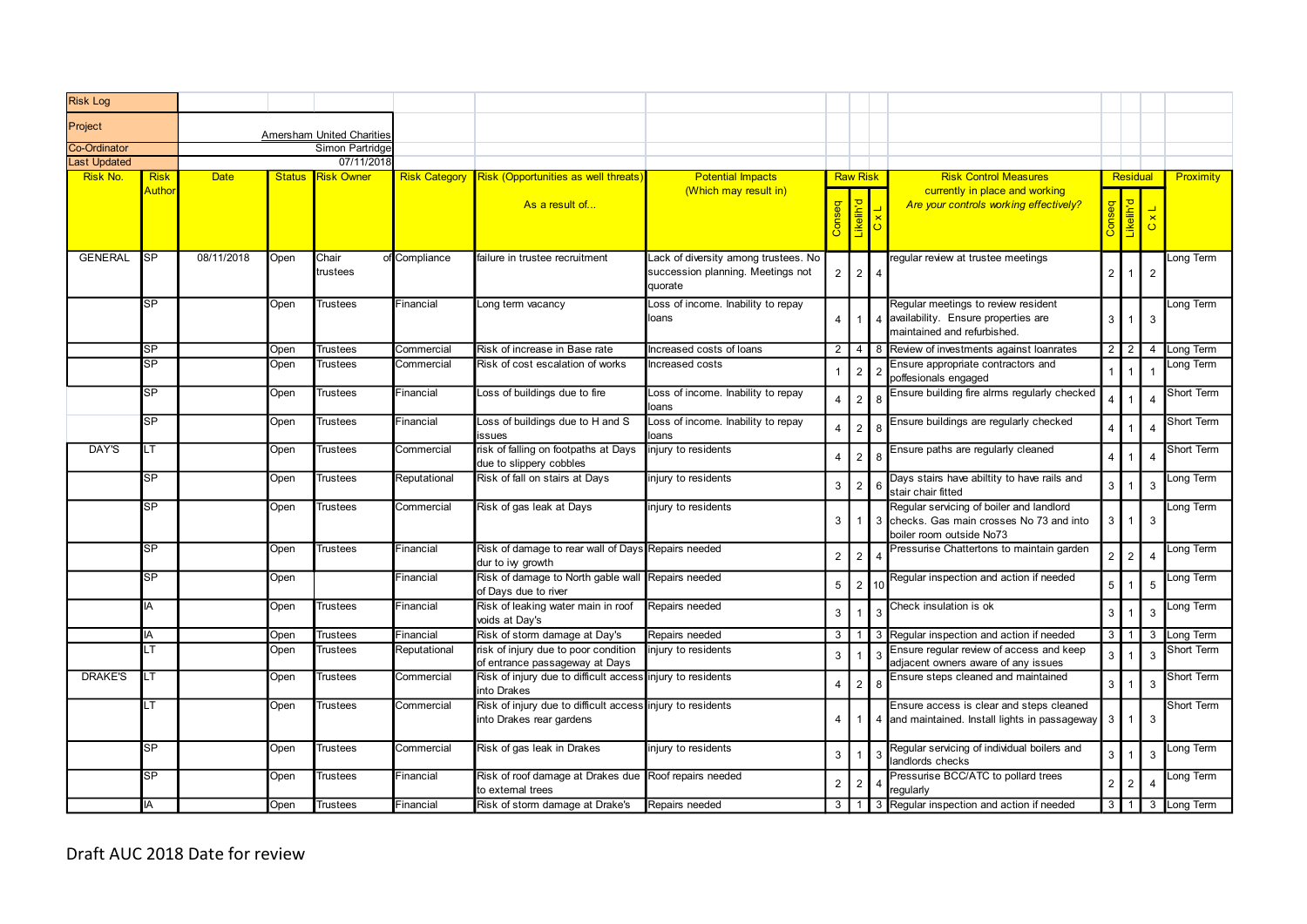| <b>Risk Log</b>                 |                   |             |      |                                                     |               |                                                                                                |                                                                                      |                |                      |                                                                                                                       |                |                   |                              |                  |
|---------------------------------|-------------------|-------------|------|-----------------------------------------------------|---------------|------------------------------------------------------------------------------------------------|--------------------------------------------------------------------------------------|----------------|----------------------|-----------------------------------------------------------------------------------------------------------------------|----------------|-------------------|------------------------------|------------------|
| Project                         |                   |             |      |                                                     |               |                                                                                                |                                                                                      |                |                      |                                                                                                                       |                |                   |                              |                  |
| Co-Ordinator                    |                   |             |      | <b>Amersham United Charities</b><br>Simon Partridge |               |                                                                                                |                                                                                      |                |                      |                                                                                                                       |                |                   |                              |                  |
| <b>Last Updated</b><br>Risk No. | <mark>Risk</mark> | <b>Date</b> |      | 07/11/2018<br><b>Status</b> Risk Owner              |               | Risk Category Risk (Opportunities as well threats)                                             | <b>Potential Impacts</b>                                                             |                | <b>Raw Risk</b>      | <b>Risk Control Measures</b>                                                                                          |                | Residual          |                              | <b>Proximity</b> |
|                                 | Autho             |             |      |                                                     |               | As a result of                                                                                 | (Which may result in)                                                                |                | $\frac{1}{\sqrt{2}}$ | currently in place and working<br>Are your controls working effectively?                                              |                |                   | $\mathbf{\times}$<br>$\circ$ |                  |
| GENERAL                         | <b>SP</b>         | 08/11/2018  | Open | Chair<br>trustees                                   | of Compliance | failure in trustee recruitment                                                                 | Lack of diversity among trustees. No<br>succession planning. Meetings not<br>quorate |                | $2 \mid 2 \mid 4$    | regular review at trustee meetings                                                                                    |                | $2 \mid 1 \mid 2$ |                              | Long Term        |
|                                 | SP                |             | Open | Trustees                                            | Financial     | Long term vacancy                                                                              | Loss of income. Inability to repay<br>loans                                          |                |                      | Regular meetings to review resident<br>4   1   4   availability. Ensure properties are<br>maintained and refurbished. |                | $3 \mid 1 \mid 3$ |                              | Long Term        |
|                                 | SP                |             | Open | Trustees                                            | Commercial    | Risk of increase in Base rate                                                                  | Increased costs of loans                                                             |                |                      | 2   4   8   Review of investments against loanrates                                                                   |                |                   |                              | 2 2 4 Long Term  |
|                                 | SP                |             | Open | Trustees                                            | Commercial    | Risk of cost escalation of works                                                               | Increased costs                                                                      |                |                      | Ensure appropriate contractors and<br>poffesionals engaged                                                            |                |                   |                              | Long Term        |
|                                 | SP                |             | Open | Trustees                                            | Financial     | Loss of buildings due to fire                                                                  | Loss of income. Inability to repay                                                   | 4              | $2 \mid$             | Ensure building fire alrms regularly checked                                                                          |                |                   | $\overline{4}$               | Short Term       |
|                                 | <b>SP</b>         |             | Open | Trustees                                            | Financial     | Loss of buildings due to H and S                                                               | Loss of income. Inability to repay                                                   | 4              | $2 \mid$             | Ensure buildings are regularly checked                                                                                | $\overline{4}$ | 1                 | $\overline{4}$               | Short Term       |
| DAY'S                           | LT                |             | Open | Trustees                                            | Commercial    | issues<br>risk of falling on footpaths at Days<br>due to slippery cobbles                      | injury to residents                                                                  | 4              | $2 \mid$             | Ensure paths are regularly cleaned                                                                                    | $\overline{4}$ | $\blacksquare$    | $\overline{4}$               | Short Term       |
|                                 | SP                |             | Open | Trustees                                            | Reputational  | Risk of fall on stairs at Days                                                                 | injury to residents                                                                  | 3 <sup>1</sup> | $\overline{2}$       | Days stairs have abiltity to have rails and<br>stair chair fitted                                                     | 3 <sup>1</sup> | $1 \mid 3$        |                              | Long Term        |
|                                 | SP                |             | Open | Trustees                                            | Commercial    | Risk of gas leak at Days                                                                       | injury to residents                                                                  | 3 I            |                      | Regular servicing of boiler and landlord<br>1 3 checks. Gas main crosses No 73 and into<br>boiler room outside No73   |                | 3 1 3             |                              | Long Term        |
|                                 | SP.               |             | Open | Trustees                                            | Financial     | Risk of damage to rear wall of Days Repairs needed                                             |                                                                                      |                | $2 \mid 2 \mid 4$    | Pressurise Chattertons to maintain garden                                                                             |                | $2 \mid 2 \mid 4$ |                              | Long Term        |
|                                 | <b>SP</b>         |             | Open |                                                     | Financial     | dur to ivy growth<br>Risk of damage to North gable wall Repairs needed<br>of Days due to river |                                                                                      | 5 <sup>1</sup> | (2)10                | Regular inspection and action if needed                                                                               | $\overline{5}$ | $1 \mid 5$        |                              | Long Term        |
|                                 | IA                |             | Open | Trustees                                            | Financial     | Risk of leaking water main in roof<br>voids at Day's                                           | Repairs needed                                                                       | $\mathbf{3}$   |                      | Check insulation is ok                                                                                                | $\overline{3}$ | $1 \mid 3$        |                              | Long Term        |
|                                 | IA                |             | Open | Trustees                                            | Financial     | Risk of storm damage at Day's                                                                  | Repairs needed                                                                       |                |                      | 3 1 3 Regular inspection and action if needed                                                                         |                |                   |                              | 3 1 3 Long Term  |
|                                 | LT.               |             | Open | Trustees                                            | Reputational  | risk of injury due to poor condition injury to residents<br>of entrance passageway at Days     |                                                                                      | $\mathbf{3}$   |                      | Ensure regular review of access and keep<br>adjacent owners aware of any issues                                       | $\overline{3}$ |                   | $\mathbf{3}$                 | Short Term       |
| DRAKE'S                         | LT.               |             | Open | Trustees                                            | Commercial    | Risk of injury due to difficult access injury to residents<br>into Drakes                      |                                                                                      | 4              | 2 <sub>1</sub>       | Ensure steps cleaned and maintained                                                                                   | $\mathbf{3}$   |                   | $\mathbf{3}$                 | Short Term       |
|                                 | LT.               |             | Open | Trustees                                            | Commercial    | Risk of injury due to difficult access injury to residents<br>into Drakes rear gardens         |                                                                                      | 4 I            |                      | Ensure access is clear and steps cleaned<br>1 4 and maintained. Install lights in passageway 3 1 3                    |                |                   |                              | Short Term       |
|                                 | <b>SP</b>         |             | Open | <b>Trustees</b>                                     | Commercial    | Risk of gas leak in Drakes                                                                     | injury to residents                                                                  | -3 I           |                      | Regular servicing of individual boilers and<br>landlords checks                                                       |                | $3 \mid 1 \mid 3$ |                              | Long Term        |
|                                 | SP                |             | Open | Trustees                                            | Financial     | Risk of roof damage at Drakes due Roof repairs needed<br>to external trees                     |                                                                                      |                | $2 \mid 2 \mid 4$    | Pressurise BCC/ATC to pollard trees<br>regularly                                                                      |                | 2 2               | $\overline{4}$               | Long Term        |
|                                 | IA                |             | Open | <b>Trustees</b>                                     | Financial     | Risk of storm damage at Drake's                                                                | Repairs needed                                                                       |                |                      | 3   1   3 Regular inspection and action if needed                                                                     |                |                   |                              | 3 1 3 Long Term  |